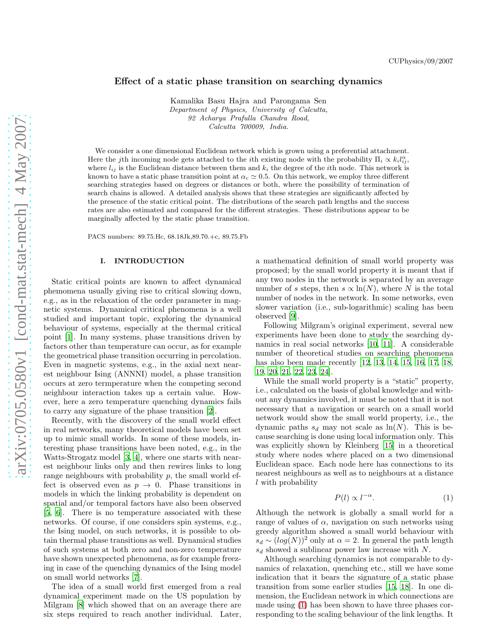# Effect of a static phase transition on searching dynamics

Kamalika Basu Hajra and Parongama Sen Department of Physics, University of Calcutta, 92 Acharya Prafulla Chandra Road, Calcutta 700009, India.

We consider a one dimensional Euclidean network which is grown using a preferential attachment. Here the jth incoming node gets attached to the *i*th existing node with the probability  $\Pi_i \propto k_i l_{ij}^{\alpha}$ , where  $l_{ij}$  is the Euclidean distance between them and  $k_i$  the degree of the *i*th node. This network is known to have a static phase transition point at  $\alpha_c \simeq 0.5$ . On this network, we employ three different searching strategies based on degrees or distances or both, where the possibility of termination of search chains is allowed. A detailed analysis shows that these strategies are significantly affected by the presence of the static critical point. The distributions of the search path lengths and the success rates are also estimated and compared for the different strategies. These distributions appear to be marginally affected by the static phase transition.

PACS numbers: 89.75.Hc, 68.18Jk,89.70.+c, 89.75.Fb

### I. INTRODUCTION

Static critical points are known to affect dynamical phemomena usually giving rise to critical slowing down, e.g., as in the relaxation of the order parameter in magnetic systems. Dynamical critical phenomena is a well studied and important topic, exploring the dynamical behaviour of systems, especially at the thermal critical point [\[1](#page-6-0)]. In many systems, phase transitions driven by factors other than temperature can occur, as for example the geometrical phase transition occurring in percolation. Even in magnetic systems, e.g., in the axial next nearest neighbour Ising (ANNNI) model, a phase transition occurs at zero termperature when the competing second neighbour interaction takes up a certain value. However, here a zero temperature quenching dynamics fails to carry any signature of the phase transition [\[2\]](#page-6-1).

Recently, with the discovery of the small world effect in real networks, many theoretical models have been set up to mimic small worlds. In some of these models, interesting phase transitions have been noted, e.g., in the Watts-Strogatz model [\[3](#page-6-2), [4](#page-6-3)], where one starts with nearest neighbour links only and then rewires links to long range neighbours with probability  $p$ , the small world effect is observed even as  $p \to 0$ . Phase transitions in models in which the linking probability is dependent on spatial and/or temporal factors have also been observed [\[5,](#page-6-4) [6\]](#page-6-5). There is no temperature associated with these networks. Of course, if one considers spin systems, e.g., the Ising model, on such networks, it is possible to obtain thermal phase transitions as well. Dynamical studies of such systems at both zero and non-zero temperature have shown unexpected phenomena, as for example freezing in case of the quenching dynamics of the Ising model on small world networks [\[7](#page-6-6)].

The idea of a small world first emerged from a real dynamical experiment made on the US population by Milgram [\[8](#page-6-7)] which showed that on an average there are six steps required to reach another individual. Later,

a mathematical definition of small world property was proposed; by the small world property it is meant that if any two nodes in the network is separated by an average number of s steps, then  $s \propto \ln(N)$ , where N is the total number of nodes in the network. In some networks, even slower variation (i.e., sub-logarithmic) scaling has been observed [\[9\]](#page-6-8).

Following Milgram's original experiment, several new experiments have been done to study the searching dynamics in real social networks [\[10,](#page-6-9) [11\]](#page-6-10). A considerable number of theoretical studies on searching phenomena has also been made recently [\[12,](#page-6-11) [13](#page-6-12), [14](#page-6-13), [15,](#page-6-14) [16,](#page-6-15) [17,](#page-6-16) [18](#page-6-17), [19](#page-6-18), [20](#page-6-19), [21](#page-6-20), [22](#page-6-21), [23](#page-6-22), [24](#page-6-23)].

While the small world property is a "static" property, i.e., calculated on the basis of global knowledge and without any dynamics involved, it must be noted that it is not necessary that a navigation or search on a small world network would show the small world property, i.e., the dynamic paths  $s_d$  may not scale as  $\ln(N)$ . This is because searching is done using local information only. This was explicitly shown by Kleinberg [\[15\]](#page-6-14) in a theoretical study where nodes where placed on a two dimensional Euclidean space. Each node here has connections to its nearest neighbours as well as to neighbours at a distance l with probability

<span id="page-0-0"></span>
$$
P(l) \propto l^{-\alpha}.\tag{1}
$$

Although the network is globally a small world for a range of values of  $\alpha$ , navigation on such networks using greedy algorithm showed a small world behaviour with  $s_d \sim (log(N))^2$  only at  $\alpha = 2$ . In general the path length  $s_d$  showed a sublinear power law increase with N.

Although searching dynamics is not comparable to dynamics of relaxation, quenching etc., still we have some indication that it bears the signature of a static phase transition from some earlier studies [\[15](#page-6-14), [18](#page-6-17)]. In one dimension, the Euclidean network in which connections are made using [\(1\)](#page-0-0) has been shown to have three phases corresponding to the scaling behaviour of the link lengths. It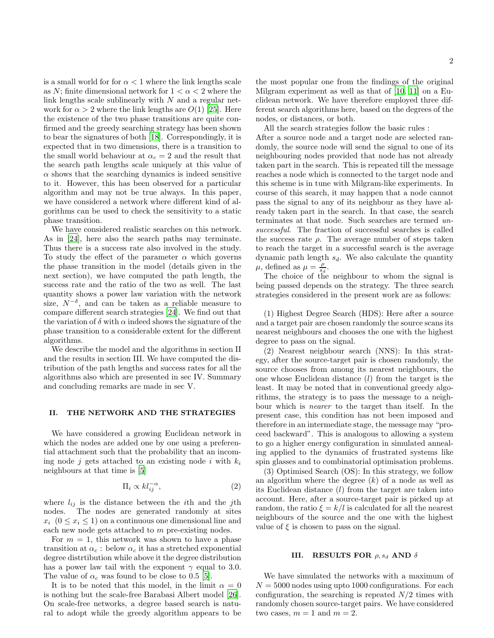is a small world for for  $\alpha < 1$  where the link lengths scale as N; finite dimensional network for  $1 < \alpha < 2$  where the link lengths scale sublinearly with  $N$  and a regular network for  $\alpha > 2$  where the link lengths are  $O(1)$  [\[25](#page-6-24)]. Here the existence of the two phase transitions are quite confirmed and the greedy searching strategy has been shown to bear the signatures of both [\[18\]](#page-6-17). Correspondingly, it is expected that in two dimensions, there is a transition to the small world behaviour at  $\alpha_c = 2$  and the result that the search path lengths scale uniquely at this value of  $\alpha$  shows that the searching dynamics is indeed sensitive to it. However, this has been observed for a particular algorithm and may not be true always. In this paper, we have considered a network where different kind of algorithms can be used to check the sensitivity to a static phase transition.

We have considered realistic searches on this network. As in [\[24](#page-6-23)], here also the search paths may terminate. Thus there is a success rate also involved in the study. To study the effect of the parameter  $\alpha$  which governs the phase transition in the model (details given in the next section), we have computed the path length, the success rate and the ratio of the two as well. The last quantity shows a power law variation with the network size,  $N^{-\delta}$ , and can be taken as a reliable measure to compare different search strategies [\[24](#page-6-23)]. We find out that the variation of  $\delta$  with  $\alpha$  indeed shows the signature of the phase transition to a considerable extent for the different algorithms.

We describe the model and the algorithms in section II and the results in section III. We have computed the distribution of the path lengths and success rates for all the algorithms also which are presented in sec IV. Summary and concluding remarks are made in sec V.

#### II. THE NETWORK AND THE STRATEGIES

We have considered a growing Euclidean network in which the nodes are added one by one using a preferential attachment such that the probability that an incoming node j gets attached to an existing node i with  $k_i$ neighbours at that time is [\[5\]](#page-6-4)

<span id="page-1-0"></span>
$$
\Pi_i \propto kl_{ij}^{-\alpha},\tag{2}
$$

where  $l_{ij}$  is the distance between the *i*th and the *j*th nodes. The nodes are generated randomly at sites  $x_i$   $(0 \le x_i \le 1)$  on a continuous one dimensional line and each new node gets attached to m pre-existing nodes.

For  $m = 1$ , this network was shown to have a phase transition at  $\alpha_c$ : below  $\alpha_c$  it has a stretched exponential degree distrtibution while above it the degree distribution has a power law tail with the exponent  $\gamma$  equal to 3.0. The value of  $\alpha_c$  was found to be close to 0.5 [\[5](#page-6-4)].

It is to be noted that this model, in the limit  $\alpha = 0$ is nothing but the scale-free Barabasi Albert model [\[26\]](#page-6-25). On scale-free networks, a degree based search is natural to adopt while the greedy algorithm appears to be

the most popular one from the findings of the original Milgram experiment as well as that of [\[10](#page-6-9), [11\]](#page-6-10) on a Euclidean network. We have therefore employed three different search algorithms here, based on the degrees of the nodes, or distances, or both.

All the search strategies follow the basic rules :

After a source node and a target node are selected randomly, the source node will send the signal to one of its neighbouring nodes provided that node has not already taken part in the search. This is repeated till the message reaches a node which is connected to the target node and this scheme is in tune with Milgram-like experiments. In course of this search, it may happen that a node cannot pass the signal to any of its neighbour as they have already taken part in the search. In that case, the search terminates at that node. Such searches are termed unsuccessful. The fraction of successful searches is called the success rate  $\rho$ . The average number of steps taken to reach the target in a successful search is the average dynamic path length  $s_d$ . We also calculate the quantity  $\mu$ , defined as  $\mu = \frac{\rho}{s_d}$ .

The choice of the neighbour to whom the signal is being passed depends on the strategy. The three search strategies considered in the present work are as follows:

(1) Highest Degree Search (HDS): Here after a source and a target pair are chosen randomly the source scans its nearest neighbours and chooses the one with the highest degree to pass on the signal.

(2) Nearest neighbour search (NNS): In this strategy, after the source-target pair is chosen randomly, the source chooses from among its nearest neighbours, the one whose Euclidean distance  $(l)$  from the target is the least. It may be noted that in conventional greedy algorithms, the strategy is to pass the message to a neighbour which is nearer to the target than itself. In the present case, this condition has not been imposed and therefore in an intermediate stage, the message may "proceed backward". This is analogous to allowing a system to go a higher energy configuration in simulated annealing applied to the dynamics of frustrated systems like spin glasses and to combinatorial optimisation problems.

(3) Optimised Search (OS): In this strategy, we follow an algorithm where the degree  $(k)$  of a node as well as its Euclidean distance  $(l)$  from the target are taken into account. Here, after a source-target pair is picked up at random, the ratio  $\xi = k/l$  is calculated for all the nearest neighbours of the source and the one with the highest value of  $\xi$  is chosen to pass on the signal.

### III. RESULTS FOR  $ρ, s_d$  AND δ

We have simulated the networks with a maximum of  $N = 5000$  nodes using upto 1000 configurations. For each configuration, the searching is repeated  $N/2$  times with randomly chosen source-target pairs. We have considered two cases,  $m = 1$  and  $m = 2$ .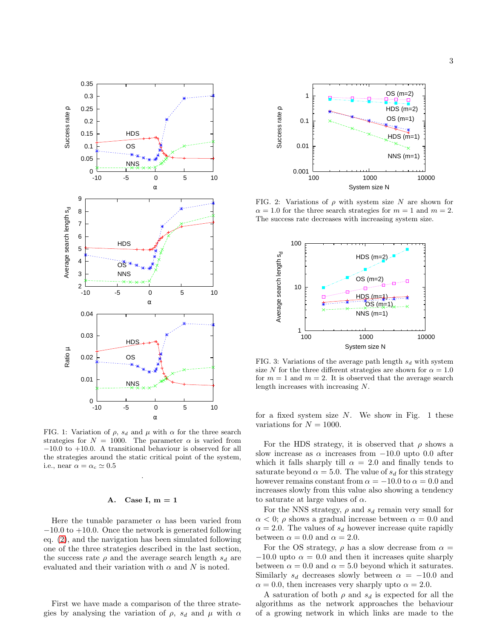

FIG. 1: Variation of  $\rho$ ,  $s_d$  and  $\mu$  with  $\alpha$  for the three search strategies for  $N = 1000$ . The parameter  $\alpha$  is varied from −10.0 to +10.0. A transitional behaviour is observed for all the strategies around the static critical point of the system, i.e., near  $\alpha = \alpha_c \simeq 0.5$ 

.

## A. Case I,  $m = 1$

Here the tunable parameter  $\alpha$  has been varied from −10.0 to +10.0. Once the network is generated following eq. [\(2\)](#page-1-0), and the navigation has been simulated following one of the three strategies described in the last section, the success rate  $\rho$  and the average search length  $s_d$  are evaluated and their variation with  $\alpha$  and N is noted.

First we have made a comparison of the three strategies by analysing the variation of  $\rho$ ,  $s_d$  and  $\mu$  with  $\alpha$ 



FIG. 2: Variations of  $\rho$  with system size N are shown for  $\alpha = 1.0$  for the three search strategies for  $m = 1$  and  $m = 2$ . The success rate decreases with increasing system size.



FIG. 3: Variations of the average path length  $s_d$  with system size N for the three different strategies are shown for  $\alpha = 1.0$ for  $m = 1$  and  $m = 2$ . It is observed that the average search length increases with increasing N.

for a fixed system size  $N$ . We show in Fig. 1 these variations for  $N = 1000$ .

For the HDS strategy, it is observed that  $\rho$  shows a slow increase as  $\alpha$  increases from  $-10.0$  upto 0.0 after which it falls sharply till  $\alpha = 2.0$  and finally tends to saturate beyond  $\alpha = 5.0$ . The value of  $s_d$  for this strategy however remains constant from  $\alpha = -10.0$  to  $\alpha = 0.0$  and increases slowly from this value also showing a tendency to saturate at large values of  $\alpha$ .

For the NNS strategy,  $\rho$  and  $s_d$  remain very small for  $\alpha$  < 0;  $\rho$  shows a gradual increase between  $\alpha$  = 0.0 and  $\alpha = 2.0$ . The values of  $s_d$  however increase quite rapidly between  $\alpha = 0.0$  and  $\alpha = 2.0$ .

For the OS strategy,  $\rho$  has a slow decrease from  $\alpha =$  $-10.0$  upto  $\alpha = 0.0$  and then it increases quite sharply between  $\alpha = 0.0$  and  $\alpha = 5.0$  beyond which it saturates. Similarly  $s_d$  decreases slowly between  $\alpha = -10.0$  and  $\alpha = 0.0$ , then increases very sharply upto  $\alpha = 2.0$ .

A saturation of both  $\rho$  and  $s_d$  is expected for all the algorithms as the network approaches the behaviour of a growing network in which links are made to the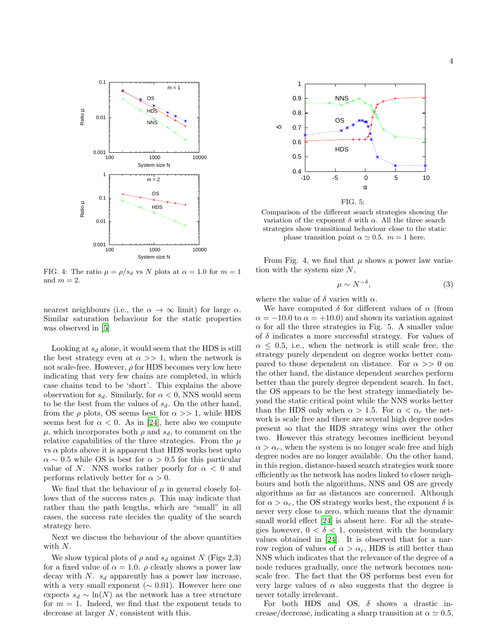

FIG. 4: The ratio  $\mu = \rho/s_d$  vs N plots at  $\alpha = 1.0$  for  $m = 1$ and  $m = 2$ .

nearest neighbours (i.e., the  $\alpha \to \infty$  limit) for large  $\alpha$ . Similar saturation behaviour for the static properties was observed in [\[5\]](#page-6-4)

Looking at  $s_d$  alone, it would seem that the HDS is still the best strategy even at  $\alpha >> 1$ , when the network is not scale-free. However,  $\rho$  for HDS becomes very low here indicating that very few chains are completed, in which case chains tend to be 'short'. This explains the above observation for  $s_d$ . Similarly, for  $\alpha < 0$ , NNS would seem to be the best from the values of  $s_d$ . On the other hand, from the  $\rho$  plots, OS seems best for  $\alpha >> 1$ , while HDS seems best for  $\alpha < 0$ . As in [\[24\]](#page-6-23), here also we compute  $\mu$ , which incorporates both  $\rho$  and  $s_d$ , to comment on the relative capabilities of the three strategies. From the  $\mu$ vs  $\alpha$  plots above it is apparent that HDS works best upto  $\alpha \sim 0.5$  while OS is best for  $\alpha > 0.5$  for this particular value of N. NNS works rather poorly for  $\alpha < 0$  and performs relatively better for  $\alpha > 0$ .

We find that the behaviour of  $\mu$  in general closely follows that of the success rates  $\rho$ . This may indicate that rather than the path lengths, which are "small" in all cases, the success rate decides the quality of the search strategy here.

Next we discuss the behaviour of the above quantities with N.

We show typical plots of  $\rho$  and  $s_d$  against N (Figs 2,3) for a fixed value of  $\alpha = 1.0$ .  $\rho$  clearly shows a power law decay with  $N. s_d$  apparently has a power law increase, with a very small exponent ( $\sim$  0.01). However here one expects  $s_d \sim \ln(N)$  as the network has a tree structure for  $m = 1$ . Indeed, we find that the exponent tends to decrease at larger N, consistent with this.



Comparison of the different search strategies showing the variation of the exponent  $\delta$  with  $\alpha$ . All the three search strategies show transitional behaviour close to the static phase transition point  $\alpha \simeq 0.5$ .  $m = 1$  here.

From Fig. 4, we find that  $\mu$  shows a power law variation with the system size  $N$ ,

$$
\mu \sim N^{-\delta},\tag{3}
$$

where the value of  $\delta$  varies with  $\alpha$ .

We have computed  $\delta$  for different values of  $\alpha$  (from  $\alpha = -10.0$  to  $\alpha = +10.0$ ) and shown its variation against  $\alpha$  for all the three strategies in Fig. 5. A smaller value of  $\delta$  indicates a more successful strategy. For values of  $\alpha \leq 0.5$ , i.e., when the network is still scale free, the strategy purely dependent on degree works better compared to those dependent on distance. For  $\alpha >> 0$  on the other hand, the distance dependent searches perform better than the purely degree dependent search. In fact, the OS appears to be the best strategy immediately beyond the static critical point while the NNS works better than the HDS only when  $\alpha > 1.5$ . For  $\alpha < \alpha_c$  the network is scale free and there are several high degree nodes present so that the HDS strategy wins over the other two. However this strategy becomes inefficient beyond  $\alpha > \alpha_c$ , when the system is no longer scale free and high degree nodes are no longer available. On the other hand, in this region, distance-based search strategies work more efficiently as the network has nodes linked to closer neighbours and both the algorithms, NNS and OS are greedy algorithms as far as distances are concerned. Although for  $\alpha > \alpha_c$ , the OS strategy works best, the exponent  $\delta$  is never very close to zero, which means that the dynamic small world effect [\[24](#page-6-23)] is absent here. For all the strategies however,  $0 < \delta < 1$ , consistent with the boundary values obtained in [\[24\]](#page-6-23). It is observed that for a narrow region of values of  $\alpha > \alpha_c$ , HDS is still better than NNS which indicates that the relevance of the degree of a node reduces gradually, once the network becomes nonscale free. The fact that the OS performs best even for very large values of  $\alpha$  also suggests that the degree is never totally irrelevant.

For both HDS and OS,  $\delta$  shows a drastic increase/decrease, indicating a sharp transition at  $\alpha \simeq 0.5$ ,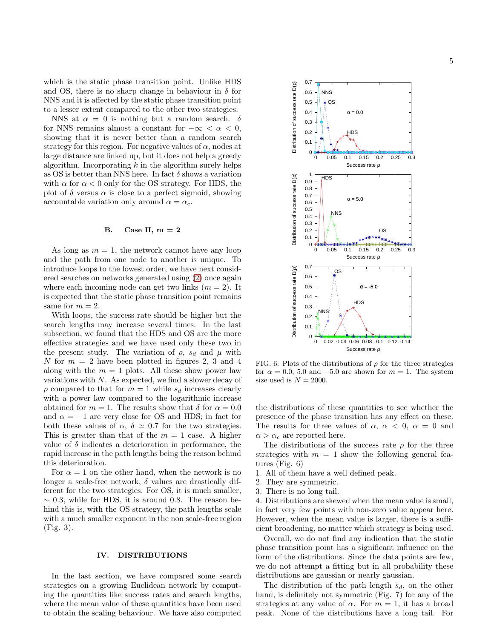which is the static phase transition point. Unlike HDS and OS, there is no sharp change in behaviour in  $\delta$  for NNS and it is affected by the static phase transition point to a lesser extent compared to the other two strategies.

NNS at  $\alpha = 0$  is nothing but a random search.  $\delta$ for NNS remains almost a constant for  $-\infty < \alpha < 0$ , showing that it is never better than a random search strategy for this region. For negative values of  $\alpha$ , nodes at large distance are linked up, but it does not help a greedy algorithm. Incorporating  $k$  in the algorithm surely helps as OS is better than NNS here. In fact  $\delta$  shows a variation with  $\alpha$  for  $\alpha < 0$  only for the OS strategy. For HDS, the plot of  $\delta$  versus  $\alpha$  is close to a perfect sigmoid, showing accountable variation only around  $\alpha = \alpha_c$ .

### B. Case II,  $m = 2$

As long as  $m = 1$ , the network cannot have any loop and the path from one node to another is unique. To introduce loops to the lowest order, we have next considered searches on networks generated using [\(2\)](#page-1-0) once again where each incoming node can get two links  $(m = 2)$ . It is expected that the static phase transition point remains same for  $m = 2$ .

With loops, the success rate should be higher but the search lengths may increase several times. In the last subsection, we found that the HDS and OS are the more effective strategies and we have used only these two in the present study. The variation of  $\rho$ ,  $s_d$  and  $\mu$  with N for  $m = 2$  have been plotted in figures 2, 3 and 4 along with the  $m = 1$  plots. All these show power law variations with  $N$ . As expected, we find a slower decay of  $\rho$  compared to that for  $m = 1$  while  $s_d$  increases clearly with a power law compared to the logarithmic increase obtained for  $m = 1$ . The results show that  $\delta$  for  $\alpha = 0.0$ and  $\alpha = -1$  are very close for OS and HDS; in fact for both these values of  $\alpha$ ,  $\delta \simeq 0.7$  for the two strategies. This is greater than that of the  $m = 1$  case. A higher value of  $\delta$  indicates a deterioration in performance, the rapid increase in the path lengths being the reason behind this deterioration.

For  $\alpha = 1$  on the other hand, when the network is no longer a scale-free network,  $\delta$  values are drastically different for the two strategies. For OS, it is much smaller,  $\sim$  0.3, while for HDS, it is around 0.8. The reason behind this is, with the OS strategy, the path lengths scale with a much smaller exponent in the non scale-free region (Fig. 3).

### IV. DISTRIBUTIONS

In the last section, we have compared some search strategies on a growing Euclidean network by computing the quantities like success rates and search lengths, where the mean value of these quantities have been used to obtain the scaling behaviour. We have also computed



FIG. 6: Plots of the distributions of  $\rho$  for the three strategies for  $\alpha = 0.0, 5.0$  and  $-5.0$  are shown for  $m = 1$ . The system size used is  $N = 2000$ .

the distributions of these quantities to see whether the presence of the phase transition has any effect on these. The results for three values of  $\alpha$ ,  $\alpha$  < 0,  $\alpha$  = 0 and  $\alpha > \alpha_c$  are reported here.

The distributions of the success rate  $\rho$  for the three strategies with  $m = 1$  show the following general features (Fig. 6)

- 1. All of them have a well defined peak.
- 2. They are symmetric.
- 3. There is no long tail.

4. Distributions are skewed when the mean value is small, in fact very few points with non-zero value appear here. However, when the mean value is larger, there is a sufficient broadening, no matter which strategy is being used.

Overall, we do not find any indication that the static phase transition point has a significant influence on the form of the distributions. Since the data points are few, we do not attempt a fitting but in all probability these distributions are gaussian or nearly gaussian.

The distribution of the path length  $s_d$ , on the other hand, is definitely not symmetric (Fig. 7) for any of the strategies at any value of  $\alpha$ . For  $m = 1$ , it has a broad peak. None of the distributions have a long tail. For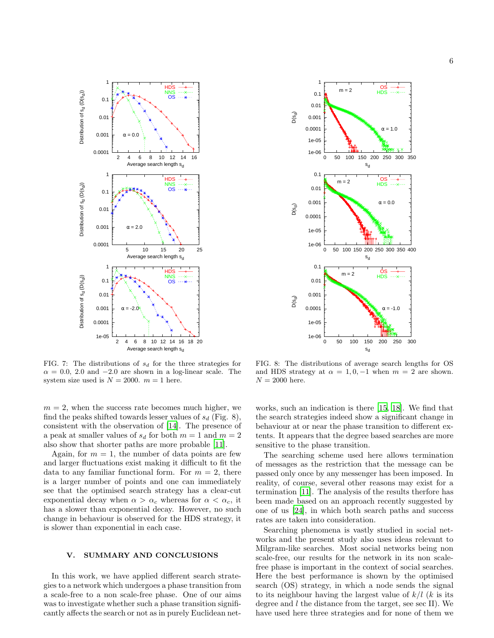

FIG. 7: The distributions of  $s_d$  for the three strategies for  $\alpha = 0.0, 2.0$  and  $-2.0$  are shown in a log-linear scale. The system size used is  $N = 2000$ .  $m = 1$  here.

 $m = 2$ , when the success rate becomes much higher, we find the peaks shifted towards lesser values of  $s_d$  (Fig. 8), consistent with the observation of [\[14\]](#page-6-13). The presence of a peak at smaller values of  $s_d$  for both  $m = 1$  and  $m = 2$ also show that shorter paths are more probable [\[11\]](#page-6-10).

Again, for  $m = 1$ , the number of data points are few and larger fluctuations exist making it difficult to fit the data to any familiar functional form. For  $m = 2$ , there is a larger number of points and one can immediately see that the optimised search strategy has a clear-cut exponential decay when  $\alpha > \alpha_c$  whereas for  $\alpha < \alpha_c$ , it has a slower than exponential decay. However, no such change in behaviour is observed for the HDS strategy, it is slower than exponential in each case.

## V. SUMMARY AND CONCLUSIONS

In this work, we have applied different search strategies to a network which undergoes a phase transition from a scale-free to a non scale-free phase. One of our aims was to investigate whether such a phase transition significantly affects the search or not as in purely Euclidean net-



FIG. 8: The distributions of average search lengths for OS and HDS strategy at  $\alpha = 1, 0, -1$  when  $m = 2$  are shown.  $N = 2000$  here.

works, such an indication is there [\[15,](#page-6-14) [18](#page-6-17)]. We find that the search strategies indeed show a significant change in behaviour at or near the phase transition to different extents. It appears that the degree based searches are more sensitive to the phase transition.

The searching scheme used here allows termination of messages as the restriction that the message can be passed only once by any messenger has been imposed. In reality, of course, several other reasons may exist for a termination [\[11\]](#page-6-10). The analysis of the results therfore has been made based on an approach recently suggested by one of us [\[24](#page-6-23)], in which both search paths and success rates are taken into consideration.

Searching phenomena is vastly studied in social networks and the present study also uses ideas relevant to Milgram-like searches. Most social networks being non scale-free, our results for the network in its non scalefree phase is important in the context of social searches. Here the best performance is shown by the optimised search (OS) strategy, in which a node sends the signal to its neighbour having the largest value of  $k/l$  (k is its degree and l the distance from the target, see sec II). We have used here three strategies and for none of them we